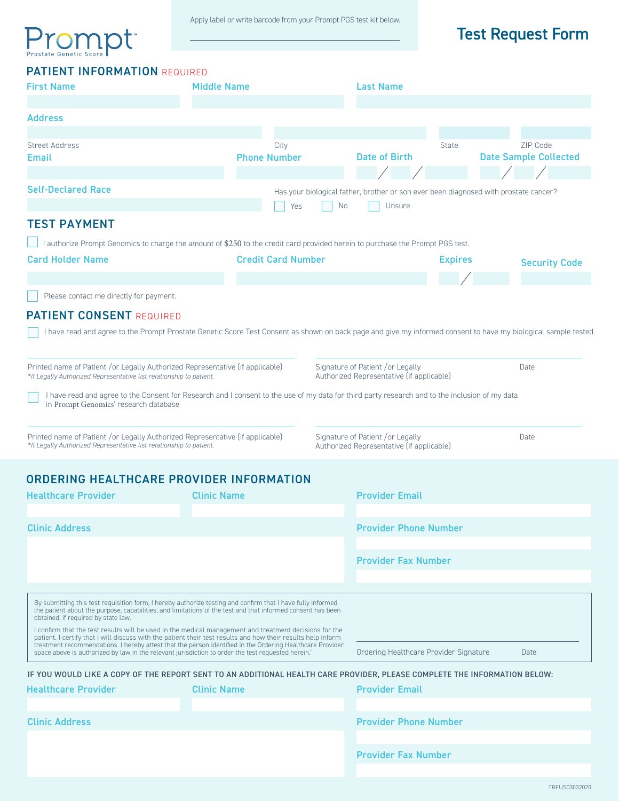# Prostate Genetic Score pt

# Test Request Form

| <b>PATIENT INFORMATION REQUIRED</b>                                                                                                                                                                                                                               |                    |                             |                                                                                                             |                                                   |                                          |  |
|-------------------------------------------------------------------------------------------------------------------------------------------------------------------------------------------------------------------------------------------------------------------|--------------------|-----------------------------|-------------------------------------------------------------------------------------------------------------|---------------------------------------------------|------------------------------------------|--|
| <b>First Name</b>                                                                                                                                                                                                                                                 | <b>Middle Name</b> |                             | <b>Last Name</b>                                                                                            |                                                   |                                          |  |
|                                                                                                                                                                                                                                                                   |                    |                             |                                                                                                             |                                                   |                                          |  |
| <b>Address</b>                                                                                                                                                                                                                                                    |                    |                             |                                                                                                             |                                                   |                                          |  |
|                                                                                                                                                                                                                                                                   |                    |                             |                                                                                                             |                                                   |                                          |  |
| <b>Street Address</b><br>Email                                                                                                                                                                                                                                    |                    | City<br><b>Phone Number</b> | <b>Date of Birth</b>                                                                                        | State                                             | ZIP Code<br><b>Date Sample Collected</b> |  |
|                                                                                                                                                                                                                                                                   |                    |                             |                                                                                                             |                                                   |                                          |  |
| <b>Self-Declared Race</b>                                                                                                                                                                                                                                         |                    | Yes                         | Has your biological father, brother or son ever been diagnosed with prostate cancer?<br><b>No</b><br>Unsure |                                                   |                                          |  |
| <b>TEST PAYMENT</b>                                                                                                                                                                                                                                               |                    |                             |                                                                                                             |                                                   |                                          |  |
|                                                                                                                                                                                                                                                                   |                    |                             |                                                                                                             |                                                   |                                          |  |
| I authorize Prompt Genomics to charge the amount of \$250 to the credit card provided herein to purchase the Prompt PGS test.<br><b>Card Holder Name</b><br><b>Credit Card Number</b>                                                                             |                    |                             |                                                                                                             | <b>Expires</b>                                    |                                          |  |
|                                                                                                                                                                                                                                                                   |                    |                             |                                                                                                             |                                                   | <b>Security Code</b>                     |  |
|                                                                                                                                                                                                                                                                   |                    |                             |                                                                                                             |                                                   |                                          |  |
| Please contact me directly for payment.                                                                                                                                                                                                                           |                    |                             |                                                                                                             |                                                   |                                          |  |
| <b>PATIENT CONSENT REQUIRED</b>                                                                                                                                                                                                                                   |                    |                             |                                                                                                             |                                                   |                                          |  |
| I have read and agree to the Prompt Prostate Genetic Score Test Consent as shown on back page and give my informed consent to have my biological sample tested                                                                                                    |                    |                             |                                                                                                             |                                                   |                                          |  |
|                                                                                                                                                                                                                                                                   |                    |                             |                                                                                                             |                                                   |                                          |  |
| Printed name of Patient /or Legally Authorized Representative (if applicable)<br>Signature of Patient /or Legally<br>Authorized Representative (if applicable)<br>*If Legally Authorized Representative list relationship to patient.                             |                    |                             |                                                                                                             |                                                   | Date                                     |  |
| I have read and agree to the Consent for Research and I consent to the use of my data for third party research and to the inclusion of my data<br>in Prompt Genomics' research database                                                                           |                    |                             |                                                                                                             |                                                   |                                          |  |
| Printed name of Patient /or Legally Authorized Representative (if applicable)<br>*If Legally Authorized Representative list relationship to patient.                                                                                                              |                    |                             | Signature of Patient /or Legally                                                                            | Date<br>Authorized Representative (if applicable) |                                          |  |
| <b>ORDERING HEALTHCARE PROVIDER INFORMATION</b>                                                                                                                                                                                                                   |                    |                             |                                                                                                             |                                                   |                                          |  |
| <b>Healthcare Provider</b>                                                                                                                                                                                                                                        | <b>Clinic Name</b> |                             | <b>Provider Email</b>                                                                                       |                                                   |                                          |  |
|                                                                                                                                                                                                                                                                   |                    |                             |                                                                                                             |                                                   |                                          |  |
| <b>Clinic Address</b>                                                                                                                                                                                                                                             |                    |                             |                                                                                                             | <b>Provider Phone Number</b>                      |                                          |  |
|                                                                                                                                                                                                                                                                   |                    |                             |                                                                                                             | <b>Provider Fax Number</b>                        |                                          |  |
|                                                                                                                                                                                                                                                                   |                    |                             |                                                                                                             |                                                   |                                          |  |
| By submitting this test requisition form, I hereby authorize testing and confirm that I have fully informed<br>the patient about the purpose, capabilities, and limitations of the test and that informed consent has been<br>obtained, if required by state law. |                    |                             |                                                                                                             |                                                   |                                          |  |
| I confirm that the test results will be used in the medical management and treatment decisions for the<br>patient. I certify that I will discuss with the patient their test results and how their results help inform                                            |                    |                             |                                                                                                             |                                                   |                                          |  |
| treatment recommendations. I hereby attest that the person identified in the Ordering Healthcare Provider<br>space above is authorized by law in the relevant jurisdiction to order the test requested herein.                                                    |                    |                             | Ordering Healthcare Provider Signature                                                                      |                                                   | Date                                     |  |
| IF YOU WOULD LIKE A COPY OF THE REPORT SENT TO AN ADDITIONAL HEALTH CARE PROVIDER, PLEASE COMPLETE THE INFORMATION BELOW:                                                                                                                                         |                    |                             |                                                                                                             |                                                   |                                          |  |
| <b>Healthcare Provider</b>                                                                                                                                                                                                                                        | <b>Clinic Name</b> | <b>Provider Email</b>       |                                                                                                             |                                                   |                                          |  |
|                                                                                                                                                                                                                                                                   |                    |                             |                                                                                                             |                                                   |                                          |  |
| <b>Clinic Address</b>                                                                                                                                                                                                                                             |                    |                             | <b>Provider Phone Number</b>                                                                                |                                                   |                                          |  |

Provider Fax Number